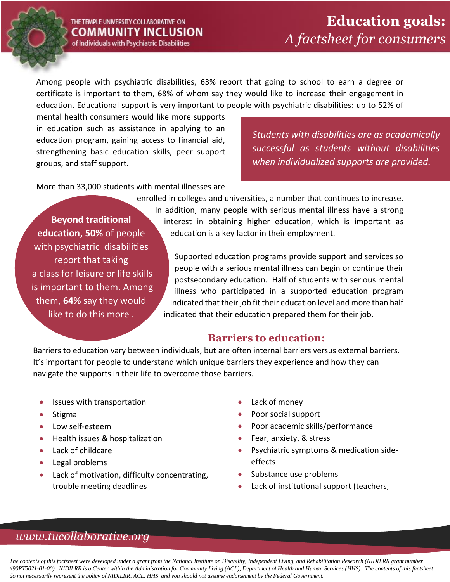

#### THE TEMPLE UNIVERSITY COLLABORATIVE ON COMMUNITY INCLUSION of Individuals with Psychiatric Disabilities

Among people with psychiatric disabilities, 63% report that going to school to earn a degree or certificate is important to them, 68% of whom say they would like to increase their engagement in education. Educational support is very important to people with psychiatric disabilities: up to 52% of

mental health consumers would like more supports in education such as assistance in applying to an education program, gaining access to financial aid, strengthening basic education skills, peer support groups, and staff support.

*Students with disabilities are as academically successful as students without disabilities when individualized supports are provided.*

More than 33,000 students with mental illnesses are

enrolled in colleges and universities, a number that continues to increase.

**Beyond traditional education, 50%** of people with psychiatric disabilities report that taking a class for leisure or life skills is important to them. Among them, **64%** say they would like to do this more .

In addition, many people with serious mental illness have a strong interest in obtaining higher education, which is important as education is a key factor in their employment.

Supported education programs provide support and services so people with a serious mental illness can begin or continue their postsecondary education. Half of students with serious mental illness who participated in a supported education program indicated that their job fit their education level and more than half indicated that their education prepared them for their job.

#### **Barriers to education:**

Barriers to education vary between individuals, but are often internal barriers versus external barriers. It's important for people to understand which unique barriers they experience and how they can navigate the supports in their life to overcome those barriers.

- Issues with transportation
- Stigma
- Low self-esteem
- Health issues & hospitalization
- Lack of childcare
- Legal problems
- Lack of motivation, difficulty concentrating, trouble meeting deadlines
- Lack of money
- Poor social support
- Poor academic skills/performance
- Fear, anxiety, & stress
- Psychiatric symptoms & medication sideeffects
- Substance use problems
- Lack of institutional support (teachers,

## *www.tucollaborative.org*

*The contents of this factsheet were developed under a grant from the National Institute on Disability, Independent Living, and Rehabilitation Research (NIDILRR grant number #90RT5021-01-00). NIDILRR is a Center within the Administration for Community Living (ACL), Department of Health and Human Services (HHS). The contents of this factsheet do not necessarily represent the policy of NIDILRR, ACL, HHS, and you should not assume endorsement by the Federal Government.*